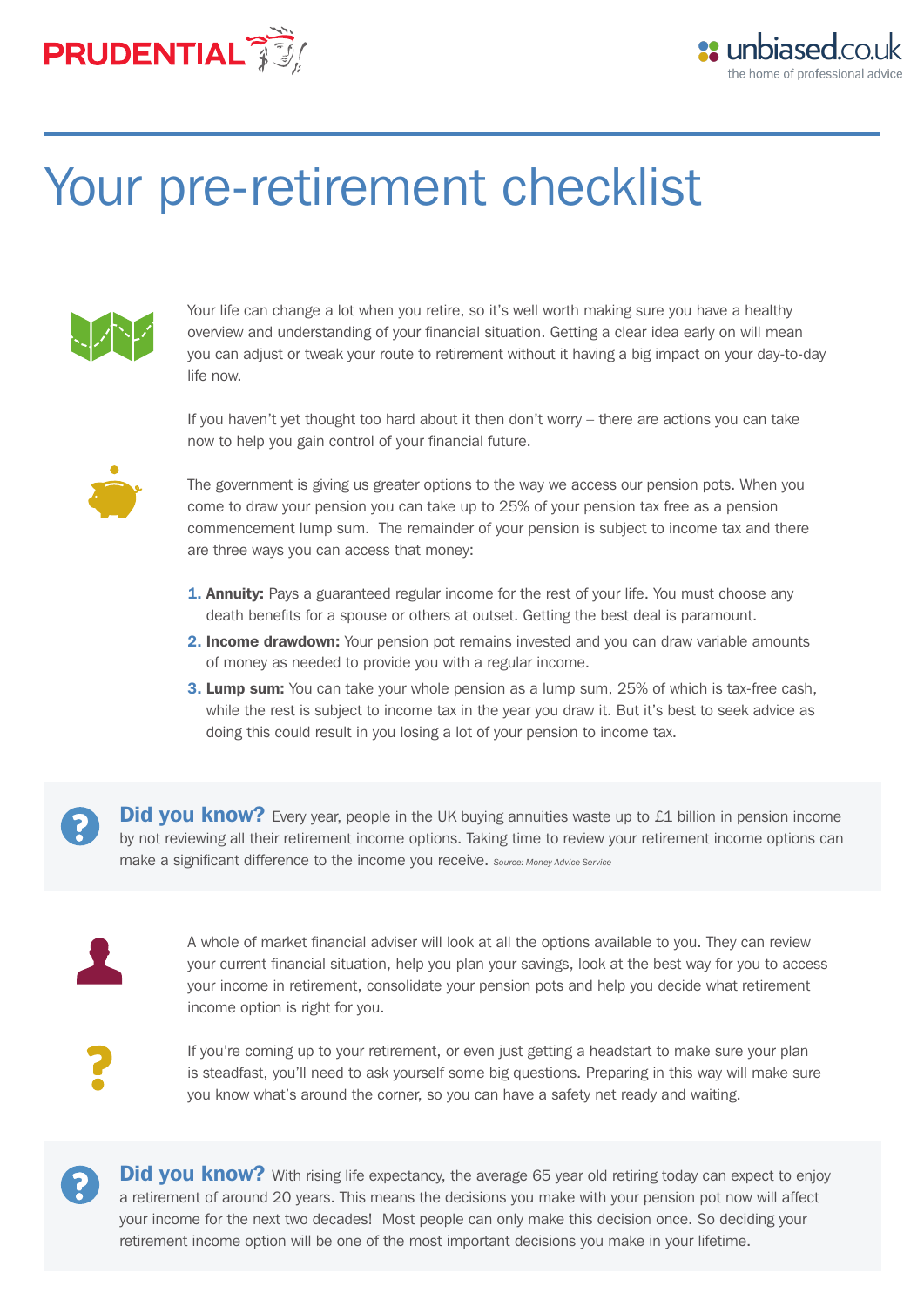



# Your pre-retirement checklist



Your life can change a lot when you retire, so it's well worth making sure you have a healthy overview and understanding of your financial situation. Getting a clear idea early on will mean you can adjust or tweak your route to retirement without it having a big impact on your day-to-day life now.

If you haven't yet thought too hard about it then don't worry – there are actions you can take now to help you gain control of your financial future.



The government is giving us greater options to the way we access our pension pots. When you come to draw your pension you can take up to 25% of your pension tax free as a pension commencement lump sum. The remainder of your pension is subject to income tax and there are three ways you can access that money:

- **1. Annuity:** Pays a guaranteed regular income for the rest of your life. You must choose any death benefits for a spouse or others at outset. Getting the best deal is paramount.
- 2. Income drawdown: Your pension pot remains invested and you can draw variable amounts of money as needed to provide you with a regular income.
- **3. Lump sum:** You can take your whole pension as a lump sum, 25% of which is tax-free cash, while the rest is subject to income tax in the year you draw it. But it's best to seek advice as doing this could result in you losing a lot of your pension to income tax.

Did you know? Every year, people in the UK buying annuities waste up to £1 billion in pension income by not reviewing all their retirement income options. Taking time to review your retirement income options can make a significant difference to the income you receive. *Source: Money Advice Service*



 $\mathbf{P}$ 

A whole of market financial adviser will look at all the options available to you. They can review your current financial situation, help you plan your savings, look at the best way for you to access your income in retirement, consolidate your pension pots and help you decide what retirement income option is right for you.



If you're coming up to your retirement, or even just getting a headstart to make sure your plan is steadfast, you'll need to ask yourself some big questions. Preparing in this way will make sure you know what's around the corner, so you can have a safety net ready and waiting.

Did you know? With rising life expectancy, the average 65 year old retiring today can expect to enjoy a retirement of around 20 years. This means the decisions you make with your pension pot now will affect your income for the next two decades! Most people can only make this decision once. So deciding your retirement income option will be one of the most important decisions you make in your lifetime.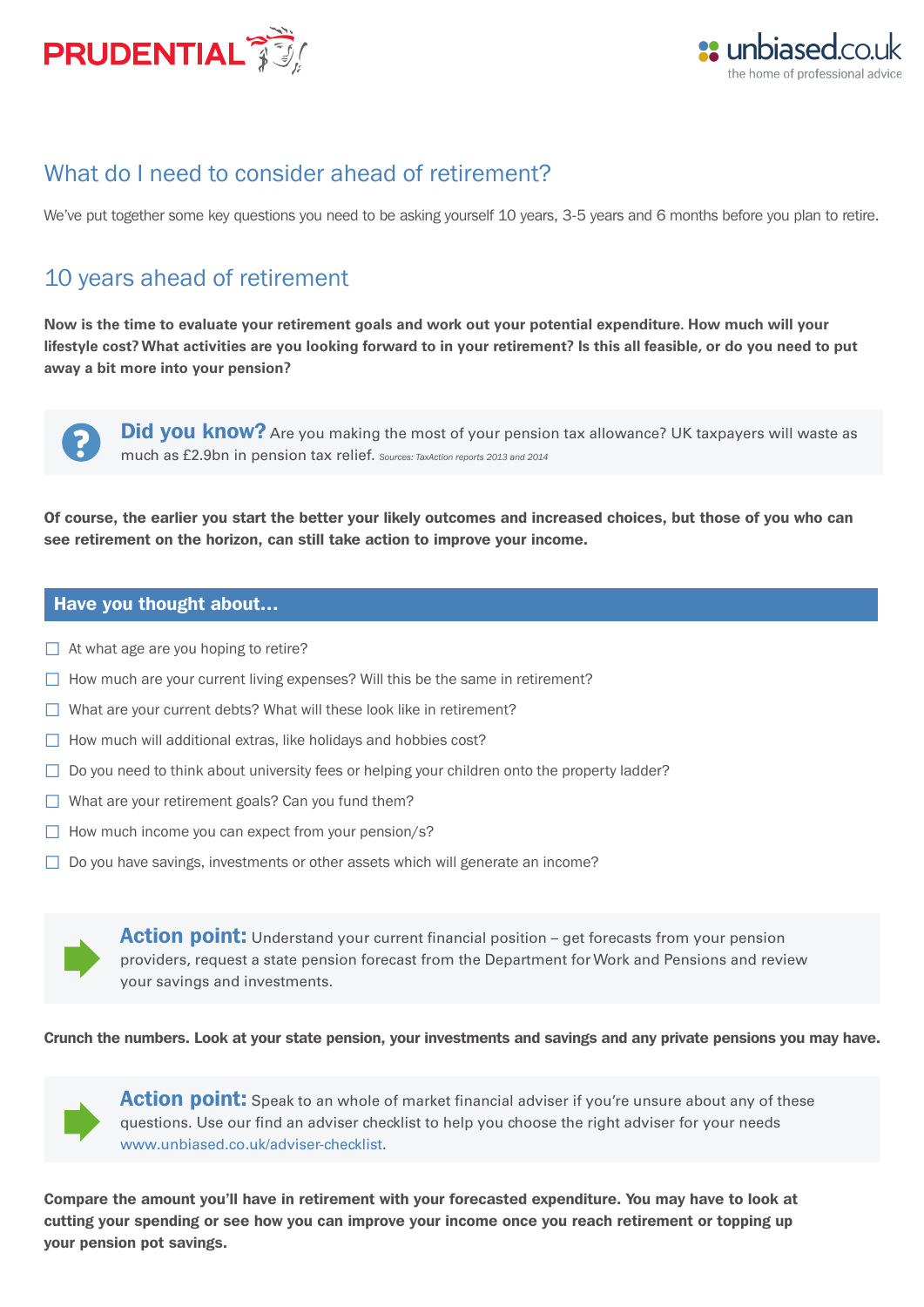



## What do I need to consider ahead of retirement?

We've put together some key questions you need to be asking yourself 10 years, 3-5 years and 6 months before you plan to retire.

## 10 years ahead of retirement

**Now is the time to evaluate your retirement goals and work out your potential expenditure. How much will your lifestyle cost? What activities are you looking forward to in your retirement? Is this all feasible, or do you need to put away a bit more into your pension?**



**Did you know?** Are you making the most of your pension tax allowance? UK taxpayers will waste as much as £2.9bn in pension tax relief. *Sources: TaxAction reports 2013 and 2014*

Of course, the earlier you start the better your likely outcomes and increased choices, but those of you who can see retirement on the horizon, can still take action to improve your income.

#### Have you thought about…

- $\Box$  At what age are you hoping to retire?
- $\Box$  How much are your current living expenses? Will this be the same in retirement?
- $\Box$  What are your current debts? What will these look like in retirement?
- $\Box$  How much will additional extras, like holidays and hobbies cost?
- $\Box$  Do you need to think about university fees or helping your children onto the property ladder?
- $\Box$  What are your retirement goals? Can you fund them?
- $\Box$  How much income you can expect from your pension/s?
- $\Box$  Do you have savings, investments or other assets which will generate an income?

**Action point:** Understand your current financial position – get forecasts from your pension providers, request a state pension forecast from the Department for Work and Pensions and review your savings and investments.

Crunch the numbers. Look at your state pension, your investments and savings and any private pensions you may have.



**Action point:** Speak to an whole of market financial adviser if you're unsure about any of these questions. Use our find an adviser checklist to help you choose the right adviser for your needs www.unbiased.co.uk/adviser-checklist.

Compare the amount you'll have in retirement with your forecasted expenditure. You may have to look at cutting your spending or see how you can improve your income once you reach retirement or topping up your pension pot savings.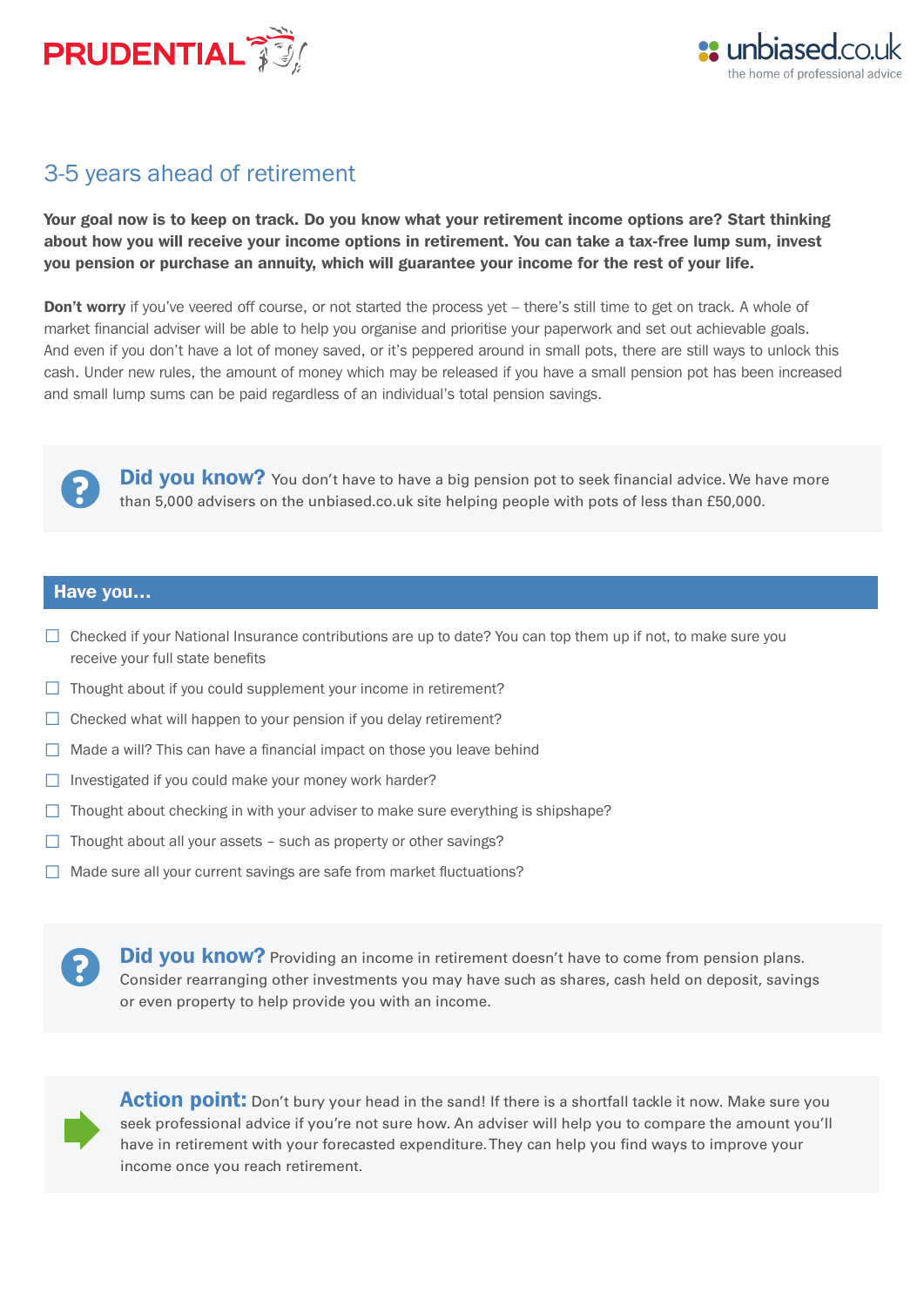



## 3-5 years ahead of retirement

Your goal now is to keep on track. Do you know what your retirement income options are? Start thinking about how you will receive your income options in retirement. You can take a tax-free lump sum, invest you pension or purchase an annuity, which will guarantee your income for the rest of your life.

**Don't worry** if you've veered off course, or not started the process yet – there's still time to get on track. A whole of market financial adviser will be able to help you organise and prioritise your paperwork and set out achievable goals. And even if you don't have a lot of money saved, or it's peppered around in small pots, there are still ways to unlock this cash. Under new rules, the amount of money which may be released if you have a small pension pot has been increased and small lump sums can be paid regardless of an individual's total pension savings.



Did you know? You don't have to have a big pension pot to seek financial advice. We have more than 5,000 advisers on the unbiased.co.uk site helping people with pots of less than £50,000.

#### Have you…

- $\Box$  Checked if your National Insurance contributions are up to date? You can top them up if not, to make sure you receive your full state benefits
- $\Box$  Thought about if you could supplement your income in retirement?
- $\Box$  Checked what will happen to your pension if you delay retirement?
- $\Box$  Made a will? This can have a financial impact on those you leave behind
- $\Box$  Investigated if you could make your money work harder?
- $\Box$  Thought about checking in with your adviser to make sure everything is shipshape?
- $\Box$  Thought about all your assets such as property or other savings?
- $\Box$  Made sure all your current savings are safe from market fluctuations?

Did you know? Providing an income in retirement doesn't have to come from pension plans. Consider rearranging other investments you may have such as shares, cash held on deposit, savings or even property to help provide you with an income.



**Action point:** Don't bury your head in the sand! If there is a shortfall tackle it now. Make sure you seek professional advice if you're not sure how. An adviser will help you to compare the amount you'll have in retirement with your forecasted expenditure. They can help you find ways to improve your income once you reach retirement.